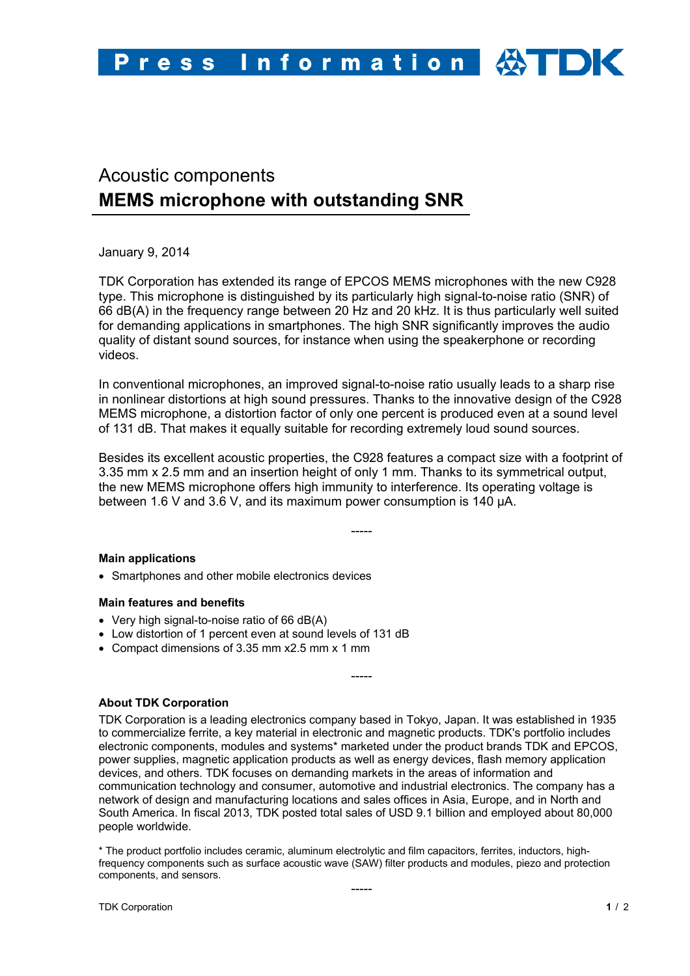# Acoustic components **MEMS microphone with outstanding SNR**

January 9, 2014

TDK Corporation has extended its range of EPCOS MEMS microphones with the new C928 type. This microphone is distinguished by its particularly high signal-to-noise ratio (SNR) of 66 dB(A) in the frequency range between 20 Hz and 20 kHz. It is thus particularly well suited for demanding applications in smartphones. The high SNR significantly improves the audio quality of distant sound sources, for instance when using the speakerphone or recording videos.

In conventional microphones, an improved signal-to-noise ratio usually leads to a sharp rise in nonlinear distortions at high sound pressures. Thanks to the innovative design of the C928 MEMS microphone, a distortion factor of only one percent is produced even at a sound level of 131 dB. That makes it equally suitable for recording extremely loud sound sources.

Besides its excellent acoustic properties, the C928 features a compact size with a footprint of 3.35 mm x 2.5 mm and an insertion height of only 1 mm. Thanks to its symmetrical output, the new MEMS microphone offers high immunity to interference. Its operating voltage is between 1.6 V and 3.6 V, and its maximum power consumption is 140 µA.

-----

### **Main applications**

Smartphones and other mobile electronics devices

### **Main features and benefits**

- Very high signal-to-noise ratio of 66 dB(A)
- Low distortion of 1 percent even at sound levels of 131 dB
- Compact dimensions of 3.35 mm x2.5 mm x 1 mm

### **About TDK Corporation**

TDK Corporation is a leading electronics company based in Tokyo, Japan. It was established in 1935 to commercialize ferrite, a key material in electronic and magnetic products. TDK's portfolio includes electronic components, modules and systems\* marketed under the product brands TDK and EPCOS, power supplies, magnetic application products as well as energy devices, flash memory application devices, and others. TDK focuses on demanding markets in the areas of information and communication technology and consumer, automotive and industrial electronics. The company has a network of design and manufacturing locations and sales offices in Asia, Europe, and in North and South America. In fiscal 2013, TDK posted total sales of USD 9.1 billion and employed about 80,000 people worldwide.

-----

\* The product portfolio includes ceramic, aluminum electrolytic and film capacitors, ferrites, inductors, highfrequency components such as surface acoustic wave (SAW) filter products and modules, piezo and protection components, and sensors.

-----